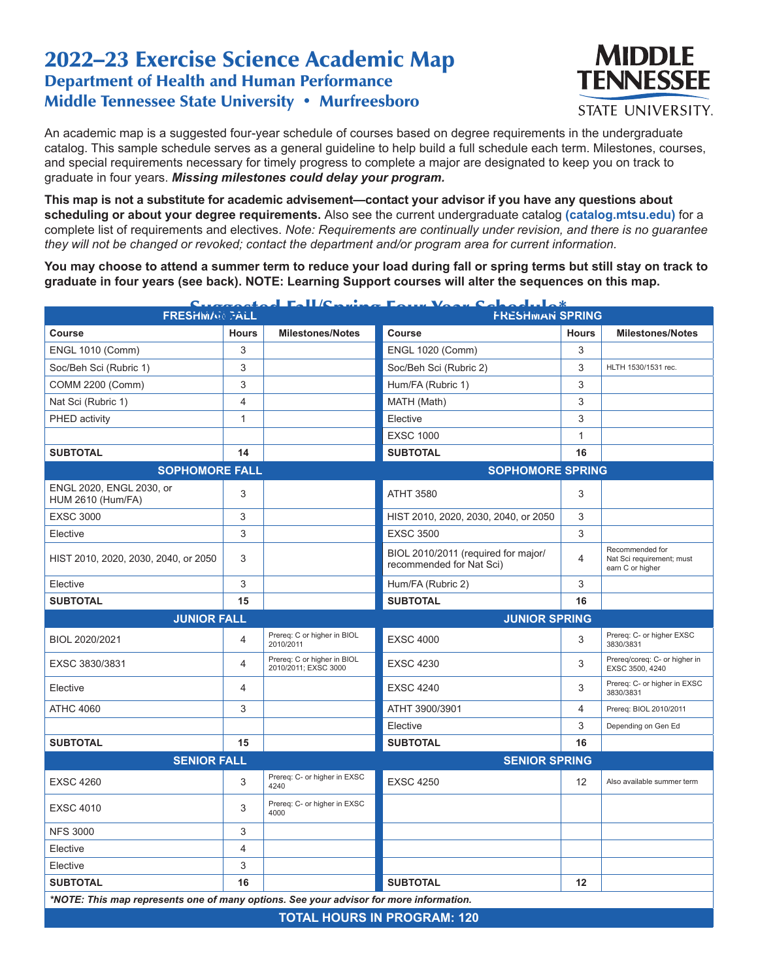## 2022–23 Exercise Science Academic Map Department of Health and Human Performance Middle Tennessee State University • Murfreesboro



An academic map is a suggested four-year schedule of courses based on degree requirements in the undergraduate catalog. This sample schedule serves as a general guideline to help build a full schedule each term. Milestones, courses, and special requirements necessary for timely progress to complete a major are designated to keep you on track to graduate in four years. *Missing milestones could delay your program.*

**This map is not a substitute for academic advisement—contact your advisor if you have any questions about scheduling or about your degree requirements.** Also see the current undergraduate catalog **(catalog.mtsu.edu)** for a complete list of requirements and electives. *Note: Requirements are continually under revision, and there is no guarantee they will not be changed or revoked; contact the department and/or program area for current information.*

**You may choose to attend a summer term to reduce your load during fall or spring terms but still stay on track to graduate in four years (see back). NOTE: Learning Support courses will alter the sequences on this map.**

| atool Fall/C.<br>حثمد<br>C.<br><b>FRESHMAN FALL</b>                                    |                |                                                     | 114 Vaque Calendaria*<br>c.<br><b>FRESHMAN SPRING</b>           |              |                                                                  |  |
|----------------------------------------------------------------------------------------|----------------|-----------------------------------------------------|-----------------------------------------------------------------|--------------|------------------------------------------------------------------|--|
|                                                                                        |                |                                                     |                                                                 |              |                                                                  |  |
| <b>Course</b>                                                                          | <b>Hours</b>   | <b>Milestones/Notes</b>                             | Course                                                          | <b>Hours</b> | <b>Milestones/Notes</b>                                          |  |
| <b>ENGL 1010 (Comm)</b>                                                                | 3              |                                                     | <b>ENGL 1020 (Comm)</b>                                         | 3            |                                                                  |  |
| Soc/Beh Sci (Rubric 1)                                                                 | 3              |                                                     | Soc/Beh Sci (Rubric 2)                                          | 3            | HLTH 1530/1531 rec.                                              |  |
| COMM 2200 (Comm)                                                                       | 3              |                                                     | Hum/FA (Rubric 1)                                               | 3            |                                                                  |  |
| Nat Sci (Rubric 1)                                                                     | $\overline{4}$ |                                                     | MATH (Math)                                                     | 3            |                                                                  |  |
| PHED activity                                                                          | $\mathbf{1}$   |                                                     | Elective                                                        | 3            |                                                                  |  |
|                                                                                        |                |                                                     | <b>EXSC 1000</b>                                                | 1            |                                                                  |  |
| <b>SUBTOTAL</b>                                                                        | 14             |                                                     | <b>SUBTOTAL</b>                                                 | 16           |                                                                  |  |
| <b>SOPHOMORE FALL</b>                                                                  |                |                                                     | <b>SOPHOMORE SPRING</b>                                         |              |                                                                  |  |
| ENGL 2020, ENGL 2030, or<br><b>HUM 2610 (Hum/FA)</b>                                   | 3              |                                                     | <b>ATHT 3580</b>                                                | 3            |                                                                  |  |
| <b>EXSC 3000</b>                                                                       | 3              |                                                     | HIST 2010, 2020, 2030, 2040, or 2050                            | 3            |                                                                  |  |
| Elective                                                                               | 3              |                                                     | <b>EXSC 3500</b>                                                | 3            |                                                                  |  |
| HIST 2010, 2020, 2030, 2040, or 2050                                                   | 3              |                                                     | BIOL 2010/2011 (required for major/<br>recommended for Nat Sci) | 4            | Recommended for<br>Nat Sci requirement; must<br>earn C or higher |  |
| Elective                                                                               | 3              |                                                     | Hum/FA (Rubric 2)                                               | 3            |                                                                  |  |
| <b>SUBTOTAL</b>                                                                        | 15             |                                                     | <b>SUBTOTAL</b>                                                 | 16           |                                                                  |  |
| <b>JUNIOR FALL</b>                                                                     |                |                                                     | <b>JUNIOR SPRING</b>                                            |              |                                                                  |  |
|                                                                                        |                |                                                     |                                                                 |              |                                                                  |  |
| BIOL 2020/2021                                                                         | 4              | Prereq: C or higher in BIOL<br>2010/2011            | <b>EXSC 4000</b>                                                | 3            | Prereq: C- or higher EXSC<br>3830/3831                           |  |
| EXSC 3830/3831                                                                         | 4              | Prereq: C or higher in BIOL<br>2010/2011; EXSC 3000 | <b>EXSC 4230</b>                                                | 3            | Prereg/coreg: C- or higher in<br>EXSC 3500, 4240                 |  |
| Elective                                                                               | 4              |                                                     | <b>EXSC 4240</b>                                                | 3            | Prereq: C- or higher in EXSC<br>3830/3831                        |  |
| <b>ATHC 4060</b>                                                                       | 3              |                                                     | ATHT 3900/3901                                                  | 4            | Prereq: BIOL 2010/2011                                           |  |
|                                                                                        |                |                                                     | Elective                                                        | 3            | Depending on Gen Ed                                              |  |
| <b>SUBTOTAL</b>                                                                        | 15             |                                                     | <b>SUBTOTAL</b>                                                 | 16           |                                                                  |  |
| <b>SENIOR FALL</b>                                                                     |                |                                                     | <b>SENIOR SPRING</b>                                            |              |                                                                  |  |
| <b>EXSC 4260</b>                                                                       | 3              | Prereq: C- or higher in EXSC<br>4240                | <b>EXSC 4250</b>                                                | 12           | Also available summer term                                       |  |
| <b>EXSC 4010</b>                                                                       | 3              | Prereq: C- or higher in EXSC<br>4000                |                                                                 |              |                                                                  |  |
| <b>NFS 3000</b>                                                                        | 3              |                                                     |                                                                 |              |                                                                  |  |
| Elective                                                                               | 4              |                                                     |                                                                 |              |                                                                  |  |
| Elective                                                                               | 3              |                                                     |                                                                 |              |                                                                  |  |
| <b>SUBTOTAL</b>                                                                        | 16             |                                                     | <b>SUBTOTAL</b>                                                 | 12           |                                                                  |  |
| *NOTE: This map represents one of many options. See your advisor for more information. |                |                                                     |                                                                 |              |                                                                  |  |